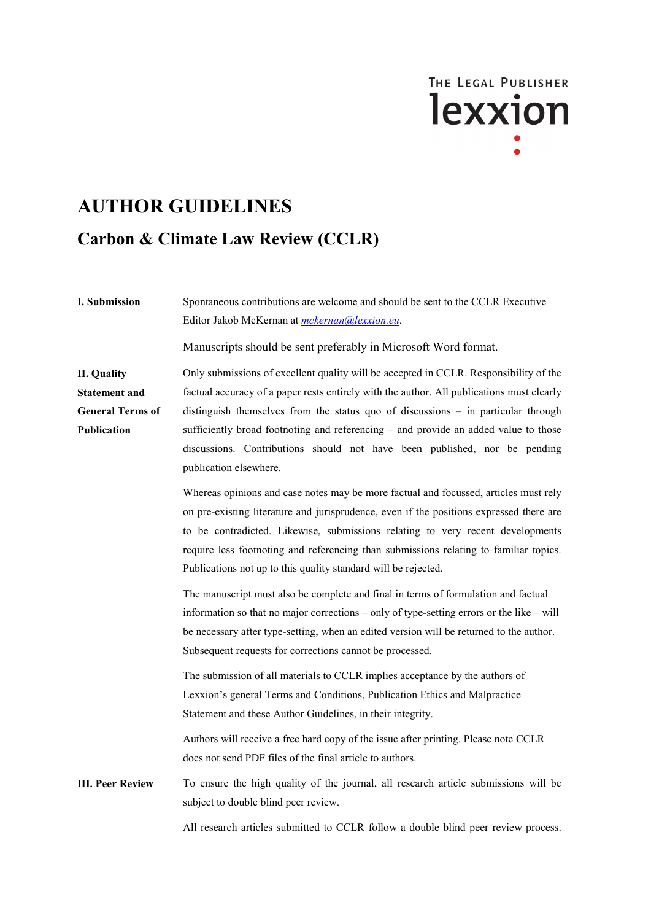# THE LEGAL PUBLISHER lexxion

# **AUTHOR GUIDELINES Carbon & Climate Law Review (CCLR)**

**I. Submission** Spontaneous contributions are welcome and should be sent to the CCLR Executive Editor Jakob McKernan at *[mckernan@lexxion.eu](mailto:mckernan@lexxion.eu)*. Manuscripts should be sent preferably in Microsoft Word format. **II. Quality Statement and General Terms of Publication** Only submissions of excellent quality will be accepted in CCLR. Responsibility of the factual accuracy of a paper rests entirely with the author. All publications must clearly distinguish themselves from the status quo of discussions – in particular through sufficiently broad footnoting and referencing – and provide an added value to those discussions. Contributions should not have been published, nor be pending publication elsewhere. Whereas opinions and case notes may be more factual and focussed, articles must rely on pre-existing literature and jurisprudence, even if the positions expressed there are to be contradicted. Likewise, submissions relating to very recent developments require less footnoting and referencing than submissions relating to familiar topics. Publications not up to this quality standard will be rejected. The manuscript must also be complete and final in terms of formulation and factual information so that no major corrections – only of type-setting errors or the like – will be necessary after type-setting, when an edited version will be returned to the author. Subsequent requests for corrections cannot be processed. The submission of all materials to CCLR implies acceptance by the authors of Lexxion's general Terms and Conditions, Publication Ethics and Malpractice Statement and these Author Guidelines, in their integrity. Authors will receive a free hard copy of the issue after printing. Please note CCLR does not send PDF files of the final article to authors. **III. Peer Review** To ensure the high quality of the journal, all research article submissions will be subject to double blind peer review.

All research articles submitted to CCLR follow a double blind peer review process.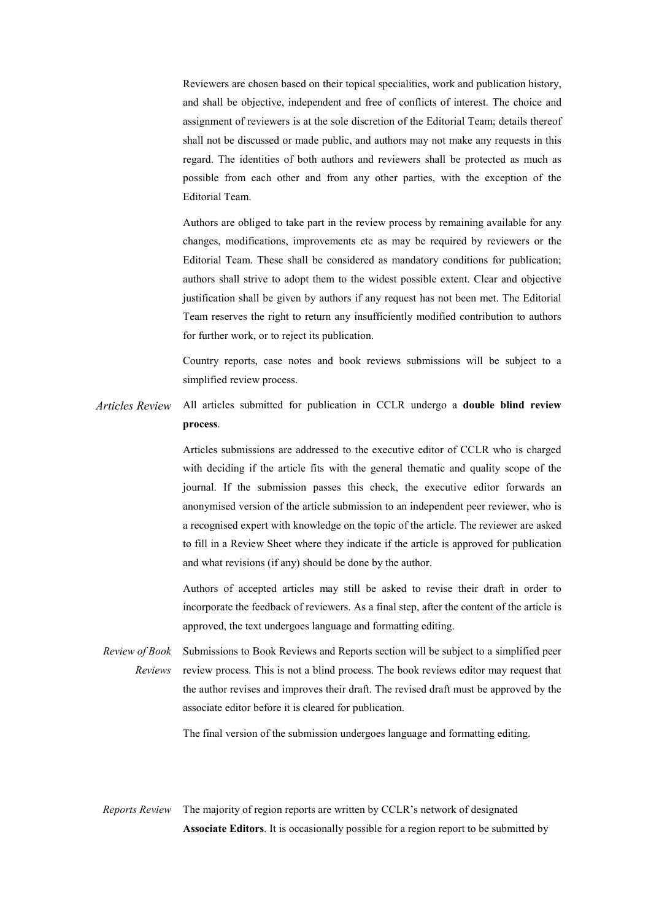Reviewers are chosen based on their topical specialities, work and publication history, and shall be objective, independent and free of conflicts of interest. The choice and assignment of reviewers is at the sole discretion of the Editorial Team; details thereof shall not be discussed or made public, and authors may not make any requests in this regard. The identities of both authors and reviewers shall be protected as much as possible from each other and from any other parties, with the exception of the Editorial Team.

Authors are obliged to take part in the review process by remaining available for any changes, modifications, improvements etc as may be required by reviewers or the Editorial Team. These shall be considered as mandatory conditions for publication; authors shall strive to adopt them to the widest possible extent. Clear and objective justification shall be given by authors if any request has not been met. The Editorial Team reserves the right to return any insufficiently modified contribution to authors for further work, or to reject its publication.

Country reports, case notes and book reviews submissions will be subject to a simplified review process.

*Articles Review* All articles submitted for publication in CCLR undergo a **double blind review process**.

> Articles submissions are addressed to the executive editor of CCLR who is charged with deciding if the article fits with the general thematic and quality scope of the journal. If the submission passes this check, the executive editor forwards an anonymised version of the article submission to an independent peer reviewer, who is a recognised expert with knowledge on the topic of the article. The reviewer are asked to fill in a Review Sheet where they indicate if the article is approved for publication and what revisions (if any) should be done by the author.

> Authors of accepted articles may still be asked to revise their draft in order to incorporate the feedback of reviewers. As a final step, after the content of the article is approved, the text undergoes language and formatting editing.

*Review of Book Reviews* Submissions to Book Reviews and Reports section will be subject to a simplified peer review process. This is not a blind process. The book reviews editor may request that the author revises and improves their draft. The revised draft must be approved by the associate editor before it is cleared for publication.

The final version of the submission undergoes language and formatting editing.

*Reports Review* The majority of region reports are written by CCLR's network of designated **Associate Editors**. It is occasionally possible for a region report to be submitted by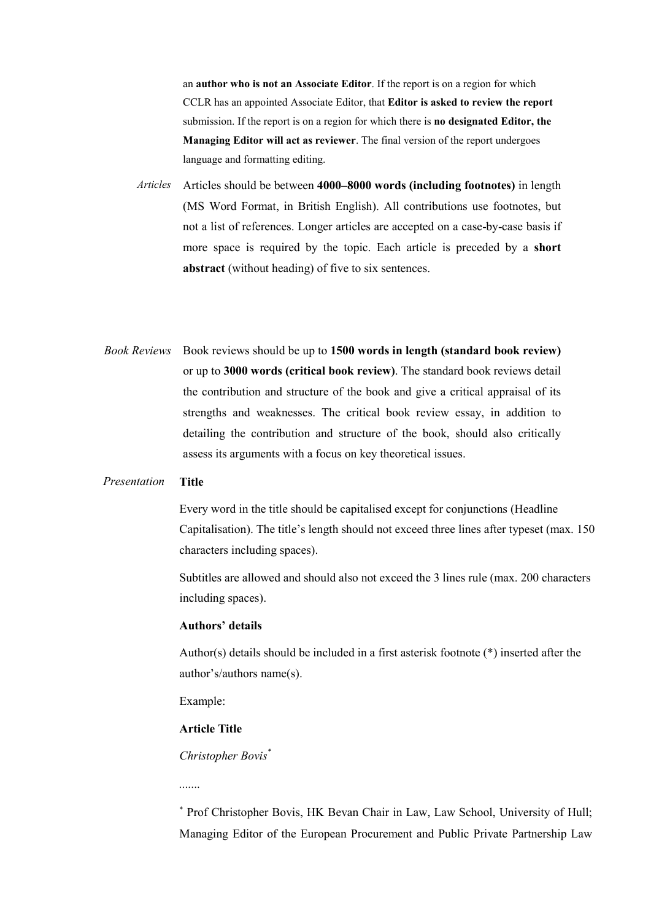an **author who is not an Associate Editor**. If the report is on a region for which CCLR has an appointed Associate Editor, that **Editor is asked to review the report** submission. If the report is on a region for which there is **no designated Editor, the Managing Editor will act as reviewer**. The final version of the report undergoes language and formatting editing.

- *Articles* Articles should be between **4000–8000 words (including footnotes)** in length (MS Word Format, in British English). All contributions use footnotes, but not a list of references. Longer articles are accepted on a case-by-case basis if more space is required by the topic. Each article is preceded by a **short abstract** (without heading) of five to six sentences.
- *Book Reviews* Book reviews should be up to **1500 words in length (standard book review)** or up to **3000 words (critical book review)**. The standard book reviews detail the contribution and structure of the book and give a critical appraisal of its strengths and weaknesses. The critical book review essay, in addition to detailing the contribution and structure of the book, should also critically assess its arguments with a focus on key theoretical issues.

#### *Presentation* **Title**

Every word in the title should be capitalised except for conjunctions (Headline Capitalisation). The title's length should not exceed three lines after typeset (max. 150 characters including spaces).

Subtitles are allowed and should also not exceed the 3 lines rule (max. 200 characters including spaces).

#### **Authors' details**

Author(s) details should be included in a first asterisk footnote (\*) inserted after the author's/authors name(s).

Example:

# **Article Title**

*Christopher Bovis\**

*.......*

<sup>∗</sup> Prof Christopher Bovis, HK Bevan Chair in Law, Law School, University of Hull; Managing Editor of the European Procurement and Public Private Partnership Law